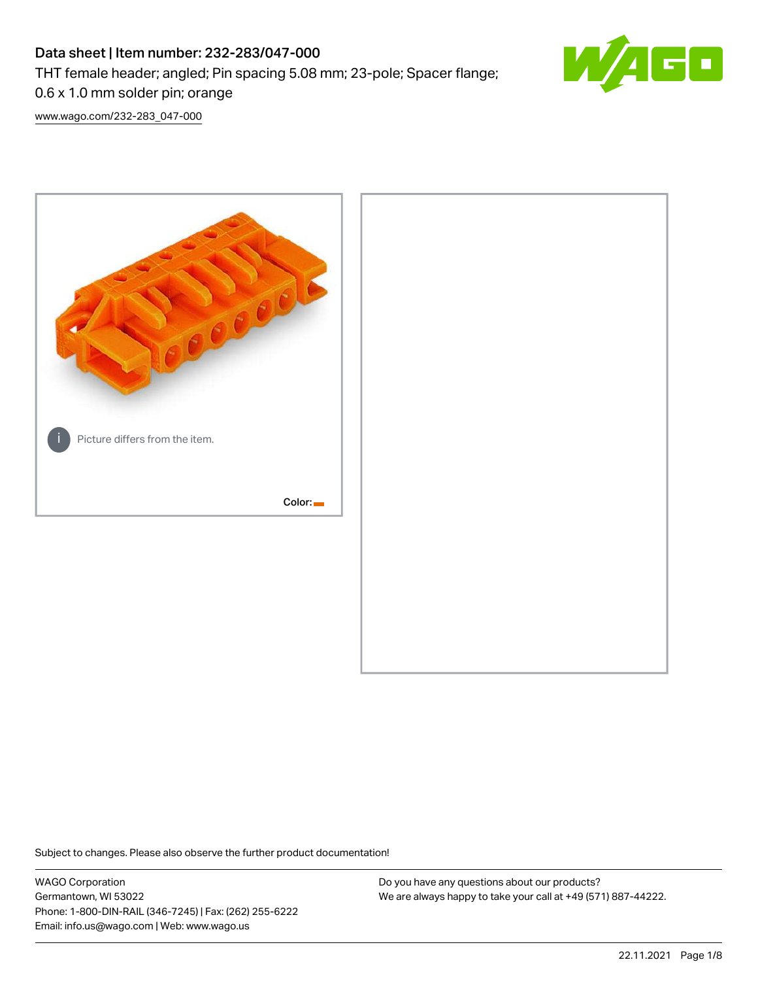# Data sheet | Item number: 232-283/047-000 THT female header; angled; Pin spacing 5.08 mm; 23-pole; Spacer flange; 0.6 x 1.0 mm solder pin; orange



[www.wago.com/232-283\\_047-000](http://www.wago.com/232-283_047-000)



Subject to changes. Please also observe the further product documentation!

WAGO Corporation Germantown, WI 53022 Phone: 1-800-DIN-RAIL (346-7245) | Fax: (262) 255-6222 Email: info.us@wago.com | Web: www.wago.us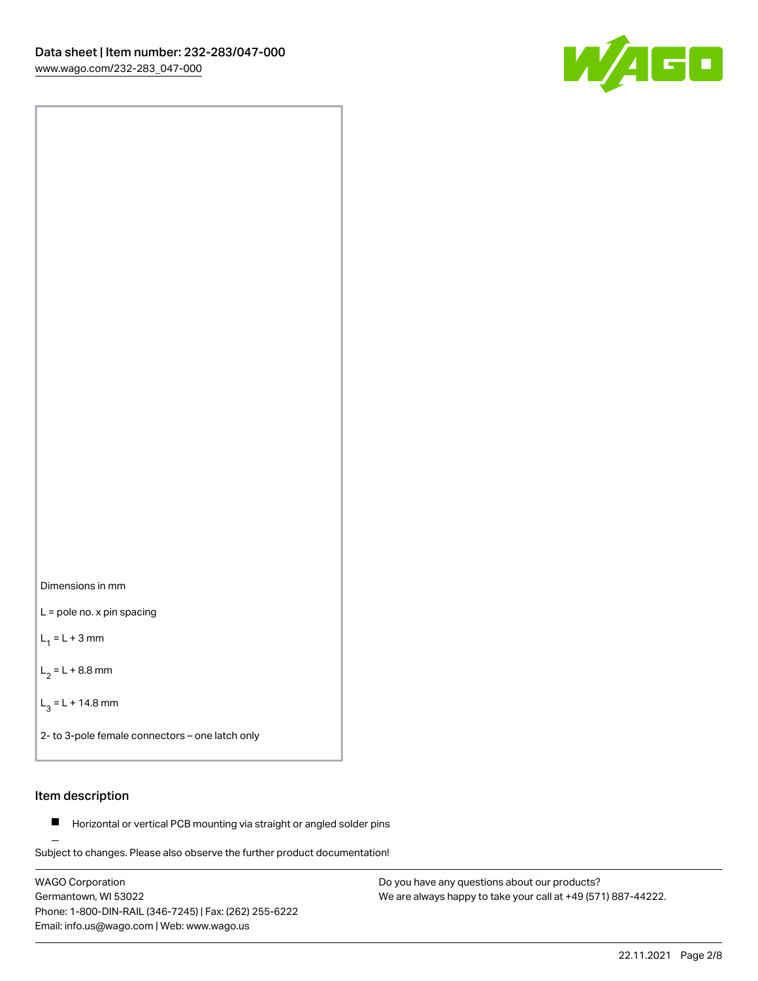

Dimensions in mm

L = pole no. x pin spacing

 $L_1 = L + 3$  mm

 $L_2 = L + 8.8$  mm

 $L_3 = L + 14.8$  mm

2- to 3-pole female connectors – one latch only

# Item description

**Horizontal or vertical PCB mounting via straight or angled solder pins** 

Subject to changes. Please also observe the further product documentation! For board-to-board and board-to-wire connections

WAGO Corporation Germantown, WI 53022 Phone: 1-800-DIN-RAIL (346-7245) | Fax: (262) 255-6222 Email: info.us@wago.com | Web: www.wago.us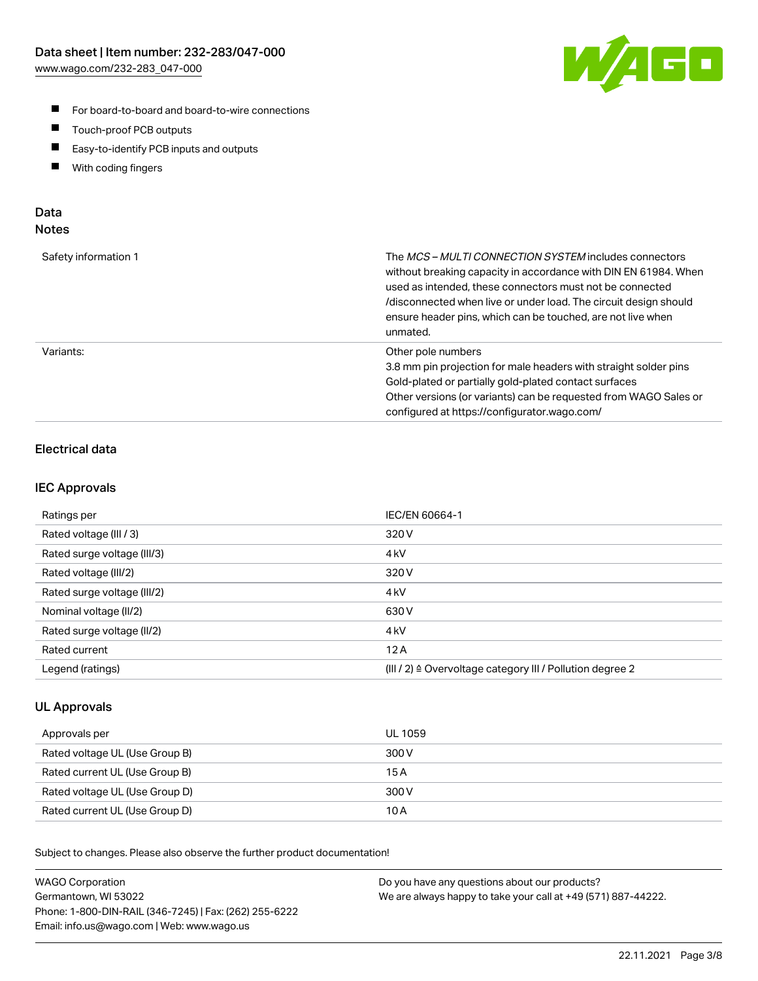

- For board-to-board and board-to-wire connections
- $\blacksquare$ Touch-proof PCB outputs
- $\blacksquare$ Easy-to-identify PCB inputs and outputs
- $\blacksquare$ With coding fingers

# Data **Notes**

| Safety information 1 | The <i>MCS – MULTI CONNECTION SYSTEM</i> includes connectors<br>without breaking capacity in accordance with DIN EN 61984. When<br>used as intended, these connectors must not be connected<br>/disconnected when live or under load. The circuit design should<br>ensure header pins, which can be touched, are not live when<br>unmated. |
|----------------------|--------------------------------------------------------------------------------------------------------------------------------------------------------------------------------------------------------------------------------------------------------------------------------------------------------------------------------------------|
| Variants:            | Other pole numbers<br>3.8 mm pin projection for male headers with straight solder pins<br>Gold-plated or partially gold-plated contact surfaces<br>Other versions (or variants) can be requested from WAGO Sales or<br>configured at https://configurator.wago.com/                                                                        |

# Electrical data

# IEC Approvals

| Ratings per                 | IEC/EN 60664-1                                                        |
|-----------------------------|-----------------------------------------------------------------------|
| Rated voltage (III / 3)     | 320 V                                                                 |
| Rated surge voltage (III/3) | 4 <sub>k</sub> V                                                      |
| Rated voltage (III/2)       | 320 V                                                                 |
| Rated surge voltage (III/2) | 4 <sub>k</sub> V                                                      |
| Nominal voltage (II/2)      | 630 V                                                                 |
| Rated surge voltage (II/2)  | 4 <sub>kV</sub>                                                       |
| Rated current               | 12A                                                                   |
| Legend (ratings)            | $(III / 2)$ $\triangle$ Overvoltage category III / Pollution degree 2 |

# UL Approvals

| Approvals per                  | UL 1059 |
|--------------------------------|---------|
| Rated voltage UL (Use Group B) | 300 V   |
| Rated current UL (Use Group B) | 15 A    |
| Rated voltage UL (Use Group D) | 300 V   |
| Rated current UL (Use Group D) | 10 A    |

Subject to changes. Please also observe the further product documentation!

| <b>WAGO Corporation</b>                                | Do you have any questions about our products?                 |
|--------------------------------------------------------|---------------------------------------------------------------|
| Germantown, WI 53022                                   | We are always happy to take your call at +49 (571) 887-44222. |
| Phone: 1-800-DIN-RAIL (346-7245)   Fax: (262) 255-6222 |                                                               |
| Email: info.us@wago.com   Web: www.wago.us             |                                                               |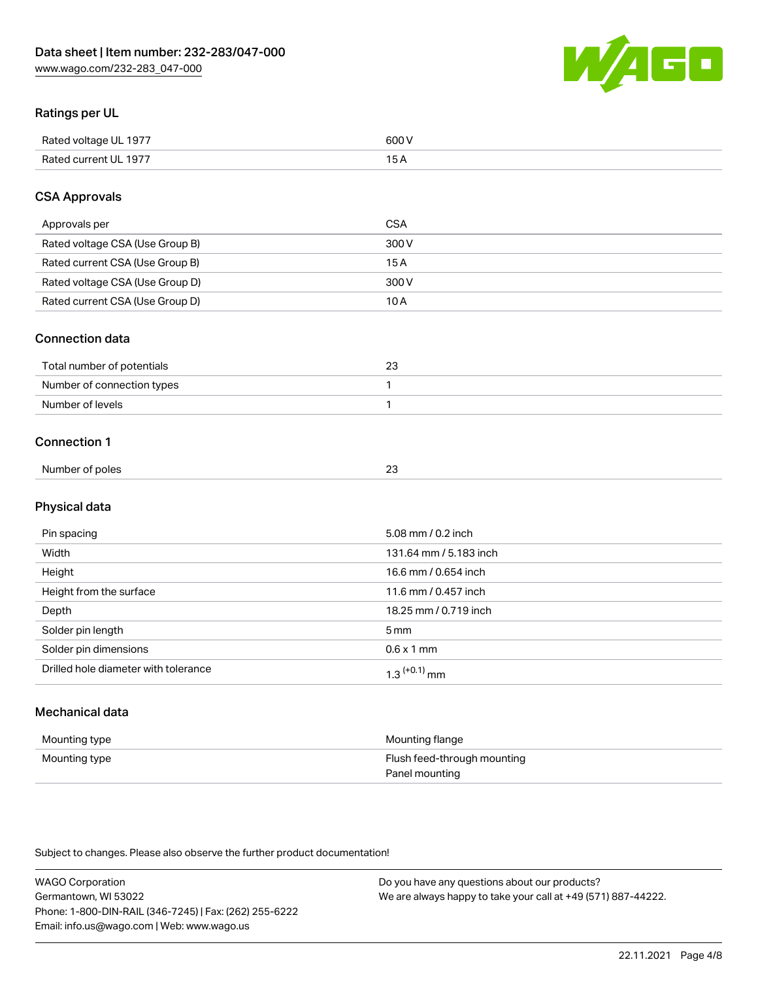

# Ratings per UL

| Rated voltage UL 1977 | 600   |
|-----------------------|-------|
| Rated current UL 1977 | . O F |

# CSA Approvals

| Approvals per                   | CSA   |
|---------------------------------|-------|
| Rated voltage CSA (Use Group B) | 300 V |
| Rated current CSA (Use Group B) | 15 A  |
| Rated voltage CSA (Use Group D) | 300 V |
| Rated current CSA (Use Group D) | 10 A  |

#### Connection data

| Total number of potentials |  |
|----------------------------|--|
| Number of connection types |  |
| Number of levels           |  |

#### Connection 1

|                 | n <sub>n</sub> |
|-----------------|----------------|
| Number of poles | ∼              |

# Physical data

| Pin spacing                          | 5.08 mm / 0.2 inch         |
|--------------------------------------|----------------------------|
| Width                                | 131.64 mm / 5.183 inch     |
| Height                               | 16.6 mm / 0.654 inch       |
| Height from the surface              | 11.6 mm / 0.457 inch       |
| Depth                                | 18.25 mm / 0.719 inch      |
| Solder pin length                    | $5 \,\mathrm{mm}$          |
| Solder pin dimensions                | $0.6 \times 1$ mm          |
| Drilled hole diameter with tolerance | $1.3$ <sup>(+0.1)</sup> mm |

# Mechanical data

| Mounting type | Mounting flange             |
|---------------|-----------------------------|
| Mounting type | Flush feed-through mounting |
|               | Panel mounting              |

Subject to changes. Please also observe the further product documentation!

| <b>WAGO Corporation</b>                                | Do you have any questions about our products?                 |
|--------------------------------------------------------|---------------------------------------------------------------|
| Germantown, WI 53022                                   | We are always happy to take your call at +49 (571) 887-44222. |
| Phone: 1-800-DIN-RAIL (346-7245)   Fax: (262) 255-6222 |                                                               |
| Email: info.us@wago.com   Web: www.wago.us             |                                                               |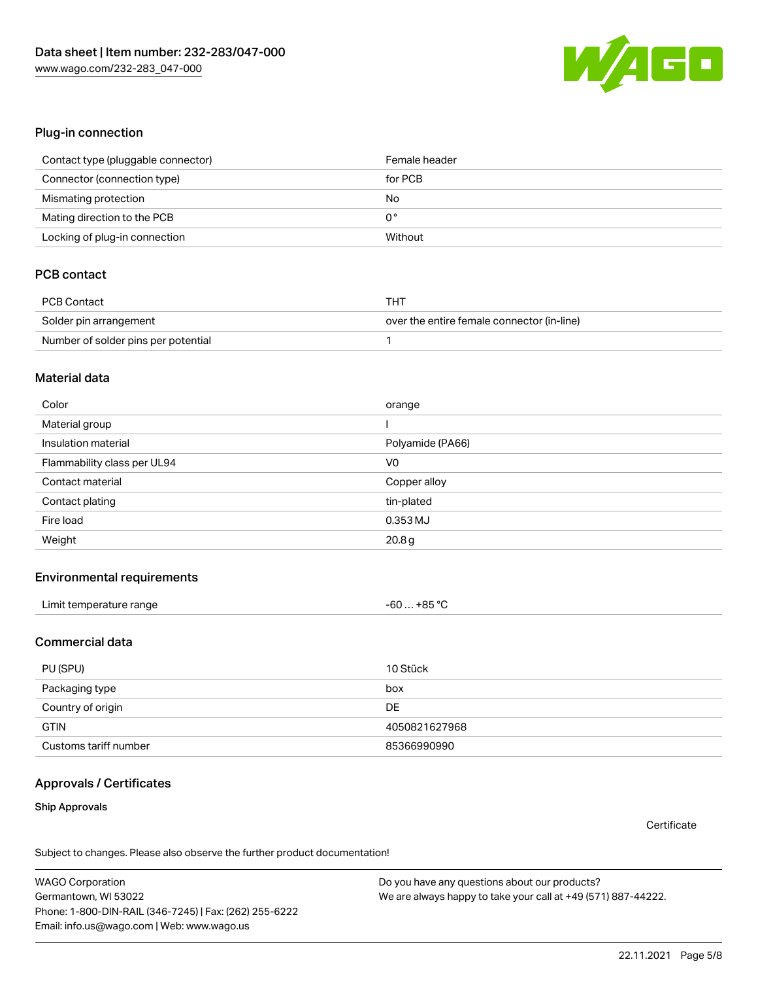

#### Plug-in connection

| Contact type (pluggable connector) | Female header |
|------------------------------------|---------------|
| Connector (connection type)        | for PCB       |
| Mismating protection               | No            |
| Mating direction to the PCB        | 0°            |
| Locking of plug-in connection      | Without       |

# PCB contact

| PCB Contact                         | THT                                        |
|-------------------------------------|--------------------------------------------|
| Solder pin arrangement              | over the entire female connector (in-line) |
| Number of solder pins per potential |                                            |

#### Material data

| Color                       | orange           |
|-----------------------------|------------------|
| Material group              |                  |
| Insulation material         | Polyamide (PA66) |
| Flammability class per UL94 | V <sub>0</sub>   |
|                             |                  |
| Contact material            | Copper alloy     |
| Contact plating             | tin-plated       |
| Fire load                   | 0.353 MJ         |

#### Environmental requirements

### Commercial data

| PU (SPU)              | 10 Stück      |
|-----------------------|---------------|
| Packaging type        | box           |
| Country of origin     | <b>DE</b>     |
| <b>GTIN</b>           | 4050821627968 |
| Customs tariff number | 85366990990   |

# Approvals / Certificates

#### Ship Approvals

**Certificate** 

Subject to changes. Please also observe the further product documentation!

WAGO Corporation Germantown, WI 53022 Phone: 1-800-DIN-RAIL (346-7245) | Fax: (262) 255-6222 Email: info.us@wago.com | Web: www.wago.us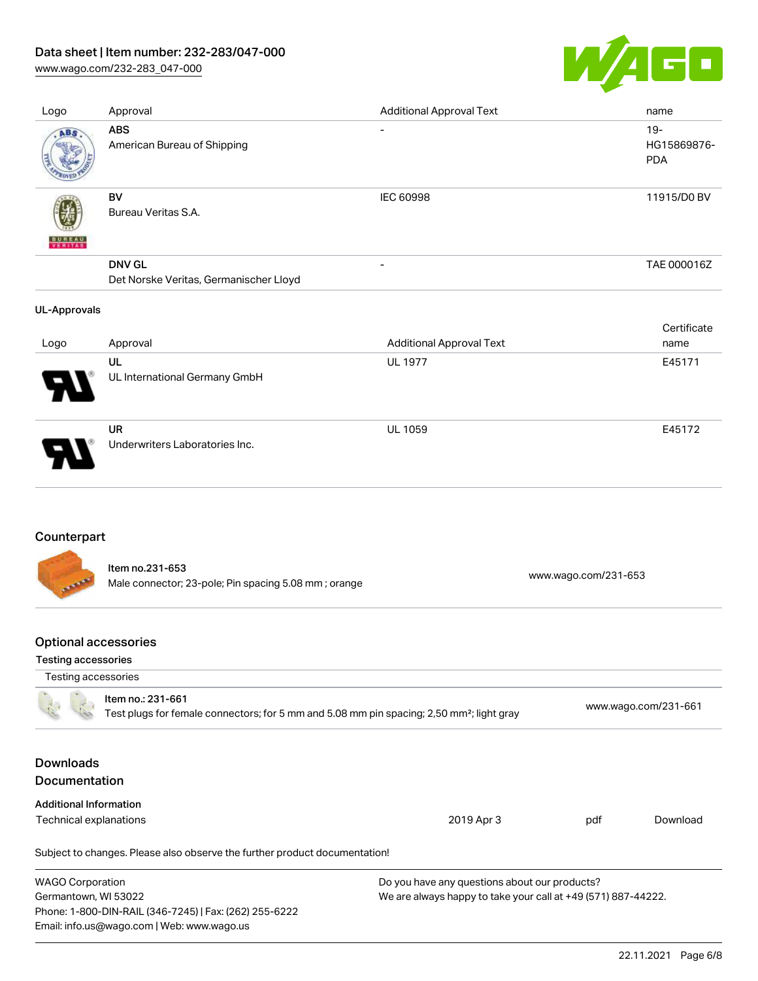# Data sheet | Item number: 232-283/047-000

[www.wago.com/232-283\\_047-000](http://www.wago.com/232-283_047-000)



| Logo                | Approval                                                | <b>Additional Approval Text</b> | name                                |
|---------------------|---------------------------------------------------------|---------------------------------|-------------------------------------|
| ABS                 | <b>ABS</b><br>American Bureau of Shipping               | $\overline{\phantom{0}}$        | $19 -$<br>HG15869876-<br><b>PDA</b> |
| <b>BUNEAU</b>       | BV<br>Bureau Veritas S.A.                               | <b>IEC 60998</b>                | 11915/D0 BV                         |
|                     | <b>DNV GL</b><br>Det Norske Veritas, Germanischer Lloyd | $\overline{\phantom{a}}$        | TAE 000016Z                         |
| <b>UL-Approvals</b> |                                                         |                                 |                                     |
|                     |                                                         |                                 |                                     |
| Logo                | Approval                                                | <b>Additional Approval Text</b> | Certificate<br>name                 |
|                     | UL<br>UL International Germany GmbH                     | <b>UL 1977</b>                  | E45171                              |

# Counterpart

Item no.231-653 Male connector; 23-pole; Pin spacing 5.08 mm ; orange [www.wago.com/231-653](https://www.wago.com/231-653)

# Optional accessories

Email: info.us@wago.com | Web: www.wago.us

#### Testing accessories

| Testing accessories                                                                                                        |                                                                            |                                                               |                      |          |
|----------------------------------------------------------------------------------------------------------------------------|----------------------------------------------------------------------------|---------------------------------------------------------------|----------------------|----------|
| Item no.: 231-661<br>Test plugs for female connectors; for 5 mm and 5.08 mm pin spacing; 2,50 mm <sup>2</sup> ; light gray |                                                                            |                                                               | www.wago.com/231-661 |          |
| <b>Downloads</b><br><b>Documentation</b>                                                                                   |                                                                            |                                                               |                      |          |
| <b>Additional Information</b>                                                                                              |                                                                            |                                                               |                      |          |
| Technical explanations                                                                                                     |                                                                            | 2019 Apr 3                                                    | pdf                  | Download |
|                                                                                                                            | Subject to changes. Please also observe the further product documentation! |                                                               |                      |          |
| <b>WAGO Corporation</b>                                                                                                    |                                                                            | Do you have any questions about our products?                 |                      |          |
| Germantown, WI 53022                                                                                                       |                                                                            | We are always happy to take your call at +49 (571) 887-44222. |                      |          |
|                                                                                                                            | Phone: 1-800-DIN-RAIL (346-7245)   Fax: (262) 255-6222                     |                                                               |                      |          |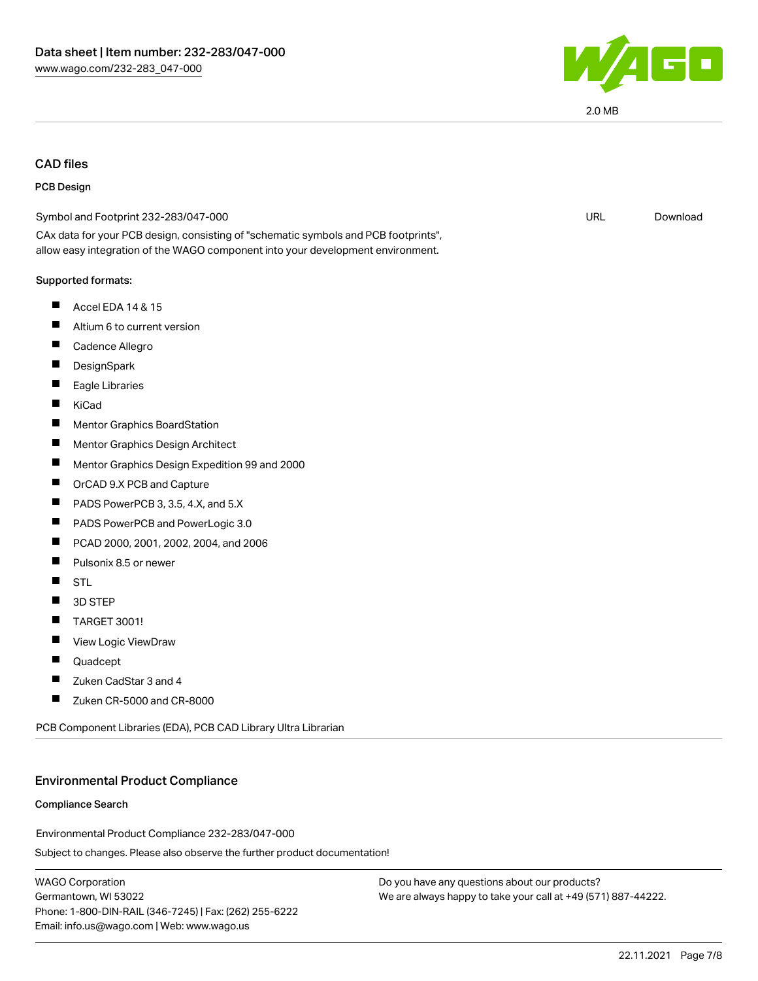

# CAD files

#### PCB Design

| Symbol and Footprint 232-283/047-000                                                                                                                                   | <b>URL</b> | Download |
|------------------------------------------------------------------------------------------------------------------------------------------------------------------------|------------|----------|
| CAx data for your PCB design, consisting of "schematic symbols and PCB footprints",<br>allow easy integration of the WAGO component into your development environment. |            |          |
| Supported formats:                                                                                                                                                     |            |          |
| Ш<br>Accel EDA 14 & 15                                                                                                                                                 |            |          |
| ш<br>Altium 6 to current version                                                                                                                                       |            |          |
| Ш<br>Cadence Allegro                                                                                                                                                   |            |          |
| Ш<br>DesignSpark                                                                                                                                                       |            |          |
| Eagle Libraries                                                                                                                                                        |            |          |
| H<br>KiCad                                                                                                                                                             |            |          |
| Mentor Graphics BoardStation<br>H                                                                                                                                      |            |          |
| ш<br>Mentor Graphics Design Architect                                                                                                                                  |            |          |
| Mentor Graphics Design Expedition 99 and 2000<br>H                                                                                                                     |            |          |
| H<br>OrCAD 9.X PCB and Capture                                                                                                                                         |            |          |
| PADS PowerPCB 3, 3.5, 4.X, and 5.X                                                                                                                                     |            |          |
| ш<br>PADS PowerPCB and PowerLogic 3.0                                                                                                                                  |            |          |
| PCAD 2000, 2001, 2002, 2004, and 2006<br>ш                                                                                                                             |            |          |
| Pulsonix 8.5 or newer<br>H                                                                                                                                             |            |          |
| H<br><b>STL</b>                                                                                                                                                        |            |          |
| П<br>3D STEP                                                                                                                                                           |            |          |
| TARGET 3001!<br>Ш                                                                                                                                                      |            |          |
| View Logic ViewDraw<br>ш                                                                                                                                               |            |          |
| H<br>Quadcept                                                                                                                                                          |            |          |
| Zuken CadStar 3 and 4                                                                                                                                                  |            |          |
| Zuken CR-5000 and CR-8000<br>Ш                                                                                                                                         |            |          |
|                                                                                                                                                                        |            |          |

PCB Component Libraries (EDA), PCB CAD Library Ultra Librarian

#### Environmental Product Compliance

#### Compliance Search

Environmental Product Compliance 232-283/047-000

Subject to changes. Please also observe the further product documentation!

WAGO Corporation Germantown, WI 53022 Phone: 1-800-DIN-RAIL (346-7245) | Fax: (262) 255-6222 Email: info.us@wago.com | Web: www.wago.us